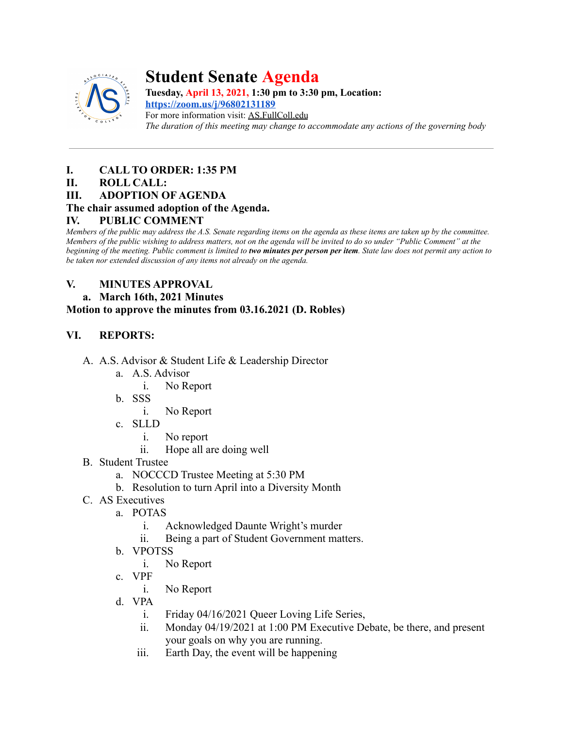

# **Student Senate Agenda**

**Tuesday, April 13, 2021, 1:30 pm to 3:30 pm, Location: <https://zoom.us/j/96802131189>**

For more information visit: AS.FullColl.edu *The duration of this meeting may change to accommodate any actions of the governing body*

# **I. CALL TO ORDER: 1:35 PM**

# **II. ROLL CALL:**

**III. ADOPTION OF AGENDA**

# **The chair assumed adoption of the Agenda.**

# **IV. PUBLIC COMMENT**

*Members of the public may address the A.S. Senate regarding items on the agenda as these items are taken up by the committee. Members of the public wishing to address matters, not on the agenda will be invited to do so under "Public Comment" at the beginning of the meeting. Public comment is limited to two minutes per person per item. State law does not permit any action to be taken nor extended discussion of any items not already on the agenda.*

# **V. MINUTES APPROVAL**

# **a. March 16th, 2021 Minutes**

## **Motion to approve the minutes from 03.16.2021 (D. Robles)**

# **VI. REPORTS:**

- A. A.S. Advisor & Student Life & Leadership Director
	- a. A.S. Advisor
		- i. No Report
	- b. SSS
		- i. No Report
	- c. SLLD
		- i. No report
		- ii. Hope all are doing well
- B. Student Trustee
	- a. NOCCCD Trustee Meeting at 5:30 PM
	- b. Resolution to turn April into a Diversity Month
- C. AS Executives
	- a. POTAS
		- i. Acknowledged Daunte Wright's murder
		- ii. Being a part of Student Government matters.
	- b. VPOTSS
		- i. No Report
	- c. VPF
		- i. No Report
	- d. VPA
		- i. Friday 04/16/2021 Queer Loving Life Series,
		- ii. Monday 04/19/2021 at 1:00 PM Executive Debate, be there, and present your goals on why you are running.
		- iii. Earth Day, the event will be happening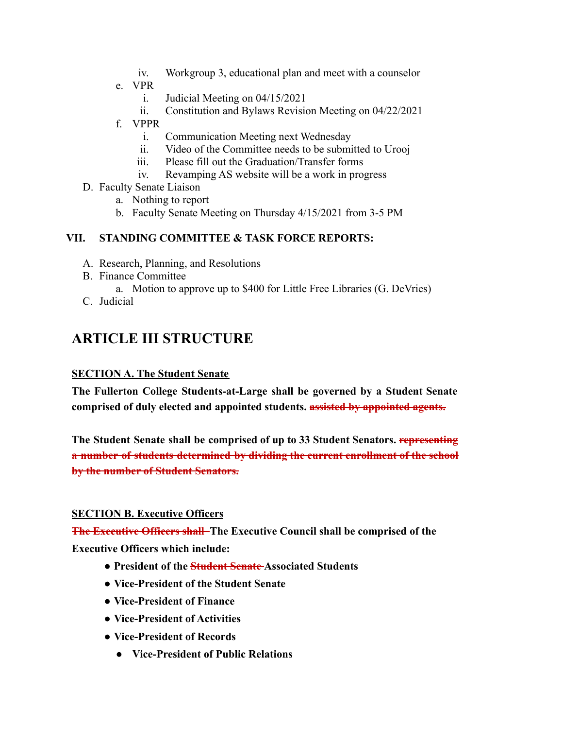- iv. Workgroup 3, educational plan and meet with a counselor
- e. VPR
	- i. Judicial Meeting on 04/15/2021
	- ii. Constitution and Bylaws Revision Meeting on 04/22/2021
- f. VPPR
	- i. Communication Meeting next Wednesday
	- ii. Video of the Committee needs to be submitted to Urooj
	- iii. Please fill out the Graduation/Transfer forms
	- iv. Revamping AS website will be a work in progress
- D. Faculty Senate Liaison
	- a. Nothing to report
	- b. Faculty Senate Meeting on Thursday 4/15/2021 from 3-5 PM

# **VII. STANDING COMMITTEE & TASK FORCE REPORTS:**

- A. Research, Planning, and Resolutions
- B. Finance Committee
	- a. Motion to approve up to \$400 for Little Free Libraries (G. DeVries)
- C. Judicial

# **ARTICLE III STRUCTURE**

### **SECTION A. The Student Senate**

**The Fullerton College Students-at-Large shall be governed by a Student Senate comprised of duly elected and appointed students. assisted by appointed agents.**

**The Student Senate shall be comprised of up to 33 Student Senators. representing a number of students determined by dividing the current enrollment of the school by the number of Student Senators.**

### **SECTION B. Executive Officers**

**The Executive Officers shall The Executive Council shall be comprised of the Executive Officers which include:**

- **● President of the Student Senate Associated Students**
- **● Vice-President of the Student Senate**
- **● Vice-President of Finance**
- **● Vice-President of Activities**
- **● Vice-President of Records**
	- **● Vice-President of Public Relations**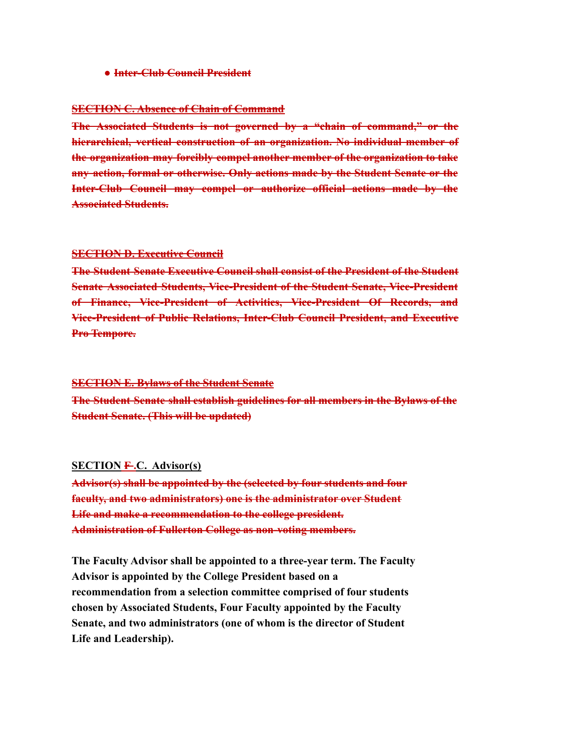**● Inter-Club Council President**

#### **SECTION C. Absence of Chain of Command**

**The Associated Students is not governed by a "chain of command," or the hierarchical, vertical construction of an organization. No individual member of the organization may forcibly compel another member of the organization to take any action, formal or otherwise. Only actions made by the Student Senate or the Inter-Club Council may compel or authorize official actions made by the Associated Students.**

#### **SECTION D. Executive Council**

**The Student Senate Executive Council shall consist of the President of the Student Senate Associated Students, Vice-President of the Student Senate, Vice-President of Finance, Vice-President of Activities, Vice-President Of Records, and Vice-President of Public Relations, Inter-Club Council President, and Executive Pro Tempore.**

#### **SECTION E. Bylaws of the Student Senate**

**The Student Senate shall establish guidelines for all members in the Bylaws of the Student Senate. (This will be updated)**

#### **SECTION F .C. Advisor(s)**

**Advisor(s) shall be appointed by the (selected by four students and four faculty, and two administrators) one is the administrator over Student Life and make a recommendation to the college president. Administration of Fullerton College as non-voting members.**

**The Faculty Advisor shall be appointed to a three-year term. The Faculty Advisor is appointed by the College President based on a recommendation from a selection committee comprised of four students chosen by Associated Students, Four Faculty appointed by the Faculty Senate, and two administrators (one of whom is the director of Student Life and Leadership).**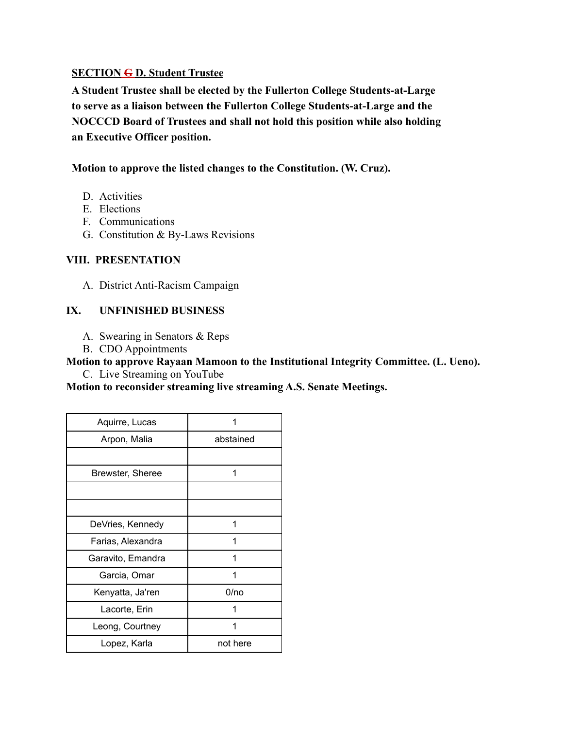### **SECTION G D. Student Trustee**

**A Student Trustee shall be elected by the Fullerton College Students-at-Large to serve as a liaison between the Fullerton College Students-at-Large and the NOCCCD Board of Trustees and shall not hold this position while also holding an Executive Officer position.**

### **Motion to approve the listed changes to the Constitution. (W. Cruz).**

- D. Activities
- E. Elections
- F. Communications
- G. Constitution & By-Laws Revisions

## **VIII. PRESENTATION**

A. District Anti-Racism Campaign

## **IX. UNFINISHED BUSINESS**

- A. Swearing in Senators & Reps
- B. CDO Appointments

**Motion to approve Rayaan Mamoon to the Institutional Integrity Committee. (L. Ueno).** C. Live Streaming on YouTube

**Motion to reconsider streaming live streaming A.S. Senate Meetings.**

| Aquirre, Lucas    |           |
|-------------------|-----------|
| Arpon, Malia      | abstained |
|                   |           |
| Brewster, Sheree  |           |
|                   |           |
|                   |           |
| DeVries, Kennedy  | 1         |
| Farias, Alexandra |           |
| Garavito, Emandra |           |
| Garcia, Omar      |           |
| Kenyatta, Ja'ren  | 0/no      |
| Lacorte, Erin     |           |
| Leong, Courtney   |           |
| Lopez, Karla      | not here  |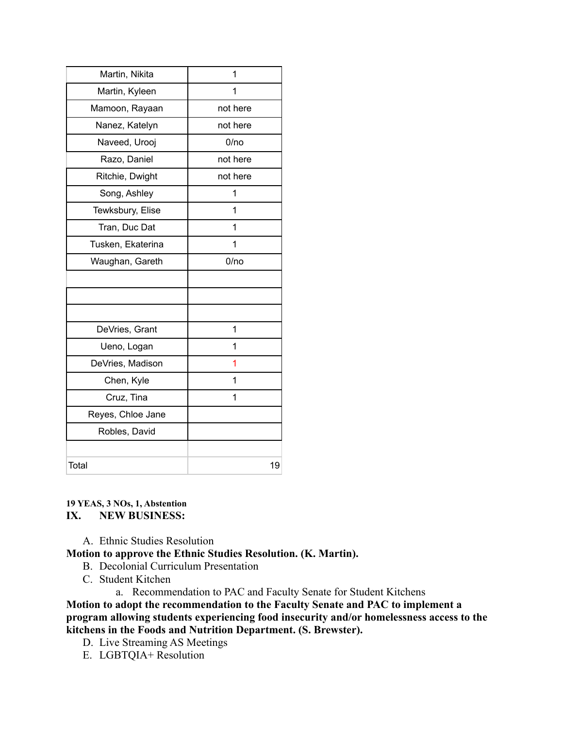| Martin, Nikita    | 1        |
|-------------------|----------|
| Martin, Kyleen    | 1        |
| Mamoon, Rayaan    | not here |
| Nanez, Katelyn    | not here |
| Naveed, Urooj     | 0/no     |
| Razo, Daniel      | not here |
| Ritchie, Dwight   | not here |
| Song, Ashley      | 1        |
| Tewksbury, Elise  | 1        |
| Tran, Duc Dat     | 1        |
| Tusken, Ekaterina | 1        |
| Waughan, Gareth   | 0/no     |
|                   |          |
|                   |          |
|                   |          |
| DeVries, Grant    | 1        |
| Ueno, Logan       | 1        |
| DeVries, Madison  | 1        |
| Chen, Kyle        | 1        |
| Cruz, Tina        | 1        |
| Reyes, Chloe Jane |          |
| Robles, David     |          |
|                   |          |
| Total             | 19       |

#### **19 YEAS, 3 NOs, 1, Abstention IX. NEW BUSINESS:**

A. Ethnic Studies Resolution

### **Motion to approve the Ethnic Studies Resolution. (K. Martin).**

- B. Decolonial Curriculum Presentation
- C. Student Kitchen
	- a. Recommendation to PAC and Faculty Senate for Student Kitchens

**Motion to adopt the recommendation to the Faculty Senate and PAC to implement a program allowing students experiencing food insecurity and/or homelessness access to the kitchens in the Foods and Nutrition Department. (S. Brewster).**

- D. Live Streaming AS Meetings
- E. LGBTQIA+ Resolution